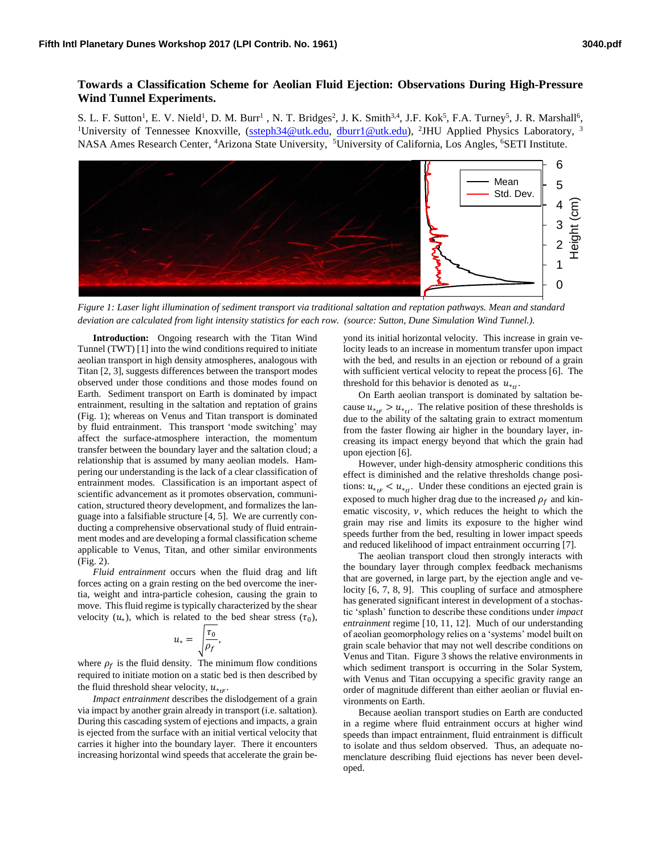## **Towards a Classification Scheme for Aeolian Fluid Ejection: Observations During High-Pressure Wind Tunnel Experiments.**

S. L. F. Sutton<sup>1</sup>, E. V. Nield<sup>1</sup>, D. M. Burr<sup>1</sup>, N. T. Bridges<sup>2</sup>, J. K. Smith<sup>3,4</sup>, J.F. Kok<sup>5</sup>, F.A. Turney<sup>5</sup>, J. R. Marshall<sup>6</sup>, <sup>1</sup>University of Tennessee Knoxville, [\(ssteph34@utk.edu,](mailto:ssteph34@utk.edu) [dburr1@utk.edu\)](mailto:dburr1@utk.edu), <sup>2</sup>JHU Applied Physics Laboratory, <sup>3</sup> NASA Ames Research Center, <sup>4</sup>Arizona State University, <sup>5</sup>University of California, Los Angles, <sup>6</sup>SETI Institute.



*Figure 1: Laser light illumination of sediment transport via traditional saltation and reptation pathways. Mean and standard deviation are calculated from light intensity statistics for each row. (source: Sutton, Dune Simulation Wind Tunnel.).*

**Introduction:** Ongoing research with the Titan Wind Tunnel (TWT) [1] into the wind conditions required to initiate aeolian transport in high density atmospheres, analogous with Titan [2, 3], suggests differences between the transport modes observed under those conditions and those modes found on Earth. Sediment transport on Earth is dominated by impact entrainment, resulting in the saltation and reptation of grains (Fig. 1); whereas on Venus and Titan transport is dominated by fluid entrainment. This transport 'mode switching' may affect the surface-atmosphere interaction, the momentum transfer between the boundary layer and the saltation cloud; a relationship that is assumed by many aeolian models. Hampering our understanding is the lack of a clear classification of entrainment modes. Classification is an important aspect of scientific advancement as it promotes observation, communication, structured theory development, and formalizes the language into a falsifiable structure [4, 5]. We are currently conducting a comprehensive observational study of fluid entrainment modes and are developing a formal classification scheme applicable to Venus, Titan, and other similar environments (Fig. 2).

*Fluid entrainment* occurs when the fluid drag and lift forces acting on a grain resting on the bed overcome the inertia, weight and intra-particle cohesion, causing the grain to move. This fluid regime is typically characterized by the shear velocity  $(u_*)$ , which is related to the bed shear stress  $(\tau_0)$ ,

$$
u_* = \sqrt{\frac{\tau_0}{\rho_f}},
$$

where  $\rho_f$  is the fluid density. The minimum flow conditions required to initiate motion on a static bed is then described by the fluid threshold shear velocity,  $u_{*,F}$ .

*Impact entrainment* describes the dislodgement of a grain via impact by another grain already in transport (i.e. saltation). During this cascading system of ejections and impacts, a grain is ejected from the surface with an initial vertical velocity that carries it higher into the boundary layer. There it encounters increasing horizontal wind speeds that accelerate the grain beyond its initial horizontal velocity. This increase in grain velocity leads to an increase in momentum transfer upon impact with the bed, and results in an ejection or rebound of a grain with sufficient vertical velocity to repeat the process [6]. The threshold for this behavior is denoted as  $u_{*_t}$ .

On Earth aeolian transport is dominated by saltation because  $u_{*_{tF}} > u_{*_{tI}}$ . The relative position of these thresholds is due to the ability of the saltating grain to extract momentum from the faster flowing air higher in the boundary layer, increasing its impact energy beyond that which the grain had upon ejection [6].

However, under high-density atmospheric conditions this effect is diminished and the relative thresholds change positions:  $u_{*_{tF}} < u_{*_{tI}}$ . Under these conditions an ejected grain is exposed to much higher drag due to the increased  $\rho_f$  and kinematic viscosity,  $\nu$ , which reduces the height to which the grain may rise and limits its exposure to the higher wind speeds further from the bed, resulting in lower impact speeds and reduced likelihood of impact entrainment occurring [7].

The aeolian transport cloud then strongly interacts with the boundary layer through complex feedback mechanisms that are governed, in large part, by the ejection angle and velocity [6, 7, 8, 9]. This coupling of surface and atmosphere has generated significant interest in development of a stochastic 'splash' function to describe these conditions under *impact entrainment* regime [10, 11, 12]. Much of our understanding of aeolian geomorphology relies on a 'systems' model built on grain scale behavior that may not well describe conditions on Venus and Titan. Figure 3 shows the relative environments in which sediment transport is occurring in the Solar System, with Venus and Titan occupying a specific gravity range an order of magnitude different than either aeolian or fluvial environments on Earth.

Because aeolian transport studies on Earth are conducted in a regime where fluid entrainment occurs at higher wind speeds than impact entrainment, fluid entrainment is difficult to isolate and thus seldom observed. Thus, an adequate nomenclature describing fluid ejections has never been developed.